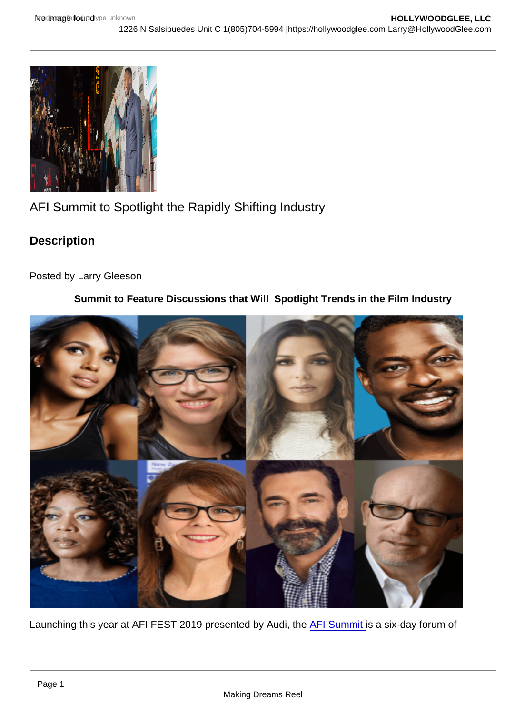## AFI Summit to Spotlight the Rapidly Shifting Industry

**Description** 

Posted by Larry Gleeson

Summit to Feature Discussions that Will Spotlight Trends in the Film Industry

Launching this year at AFI FEST 2019 presented by Audi, the [AFI Summit](https://hollywoodglee.com/2019/10/24/afi-fest-2019-presented-by-audi-announces-afi-summit-program/) is a six-day forum of